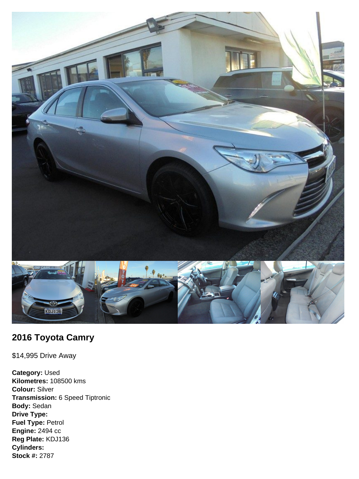

## **2016 Toyota Camry**

\$14,995 Drive Away

**Category:** Used **Kilometres:** 108500 kms **Colour:** Silver **Transmission:** 6 Speed Tiptronic **Body:** Sedan **Drive Type: Fuel Type:** Petrol **Engine:** 2494 cc **Reg Plate:** KDJ136 **Cylinders: Stock #:** 2787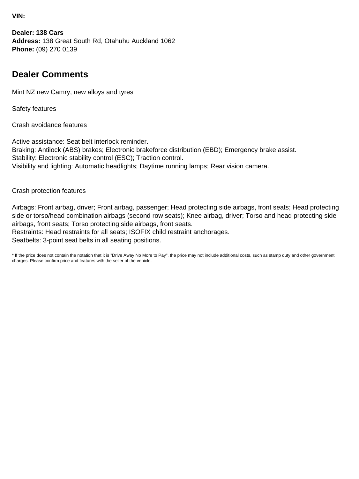**VIN:**

**Dealer: 138 Cars Address:** 138 Great South Rd, Otahuhu Auckland 1062 **Phone:** (09) 270 0139

## **Dealer Comments**

Mint NZ new Camry, new alloys and tyres

Safety features

Crash avoidance features

Active assistance: Seat belt interlock reminder. Braking: Antilock (ABS) brakes; Electronic brakeforce distribution (EBD); Emergency brake assist. Stability: Electronic stability control (ESC); Traction control. Visibility and lighting: Automatic headlights; Daytime running lamps; Rear vision camera.

Crash protection features

Airbags: Front airbag, driver; Front airbag, passenger; Head protecting side airbags, front seats; Head protecting side or torso/head combination airbags (second row seats); Knee airbag, driver; Torso and head protecting side airbags, front seats; Torso protecting side airbags, front seats. Restraints: Head restraints for all seats; ISOFIX child restraint anchorages. Seatbelts: 3-point seat belts in all seating positions.

\* If the price does not contain the notation that it is "Drive Away No More to Pay", the price may not include additional costs, such as stamp duty and other government charges. Please confirm price and features with the seller of the vehicle.